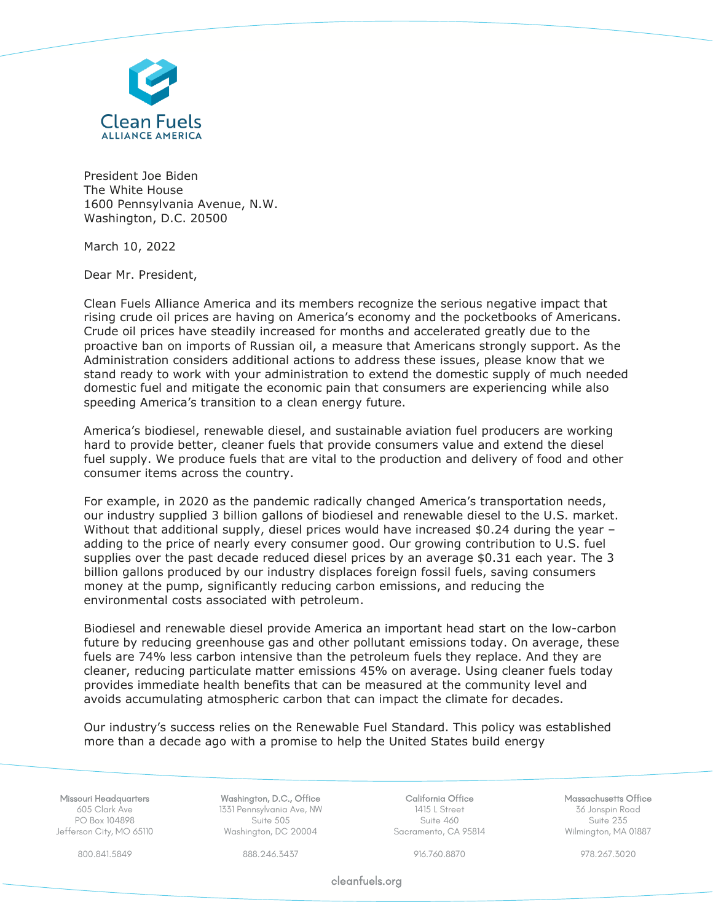

President Joe Biden The White House 1600 Pennsylvania Avenue, N.W. Washington, D.C. 20500

March 10, 2022

Dear Mr. President,

Clean Fuels Alliance America and its members recognize the serious negative impact that rising crude oil prices are having on America's economy and the pocketbooks of Americans. Crude oil prices have steadily increased for months and accelerated greatly due to the proactive ban on imports of Russian oil, a measure that Americans strongly support. As the Administration considers additional actions to address these issues, please know that we stand ready to work with your administration to extend the domestic supply of much needed domestic fuel and mitigate the economic pain that consumers are experiencing while also speeding America's transition to a clean energy future.

America's biodiesel, renewable diesel, and sustainable aviation fuel producers are working hard to provide better, cleaner fuels that provide consumers value and extend the diesel fuel supply. We produce fuels that are vital to the production and delivery of food and other consumer items across the country.

For example, in 2020 as the pandemic radically changed America's transportation needs, our industry supplied 3 billion gallons of biodiesel and renewable diesel to the U.S. market. Without that additional supply, diesel prices would have increased \$0.24 during the year adding to the price of nearly every consumer good. Our growing contribution to U.S. fuel supplies over the past decade reduced diesel prices by an average \$0.31 each year. The 3 billion gallons produced by our industry displaces foreign fossil fuels, saving consumers money at the pump, significantly reducing carbon emissions, and reducing the environmental costs associated with petroleum.

Biodiesel and renewable diesel provide America an important head start on the low-carbon future by reducing greenhouse gas and other pollutant emissions today. On average, these fuels are 74% less carbon intensive than the petroleum fuels they replace. And they are cleaner, reducing particulate matter emissions 45% on average. Using cleaner fuels today provides immediate health benefits that can be measured at the community level and avoids accumulating atmospheric carbon that can impact the climate for decades.

Our industry's success relies on the Renewable Fuel Standard. This policy was established more than a decade ago with a promise to help the United States build energy

Missouri Headquarters 605 Clark Ave PO Box 104898 Jefferson City, MO 65110

Washington, D.C., Office 1331 Pennsylvania Ave, NW Suite 505 Washington, DC 20004

California Office 1415 L Street Suite 460 Sacramento, CA 95814 Massachusetts Office 36 Jonspin Road Suite 235 Wilmington, MA 01887

800.841.5849 888.246.3437 916.760.8870 978.267.3020

cleanfuels.org